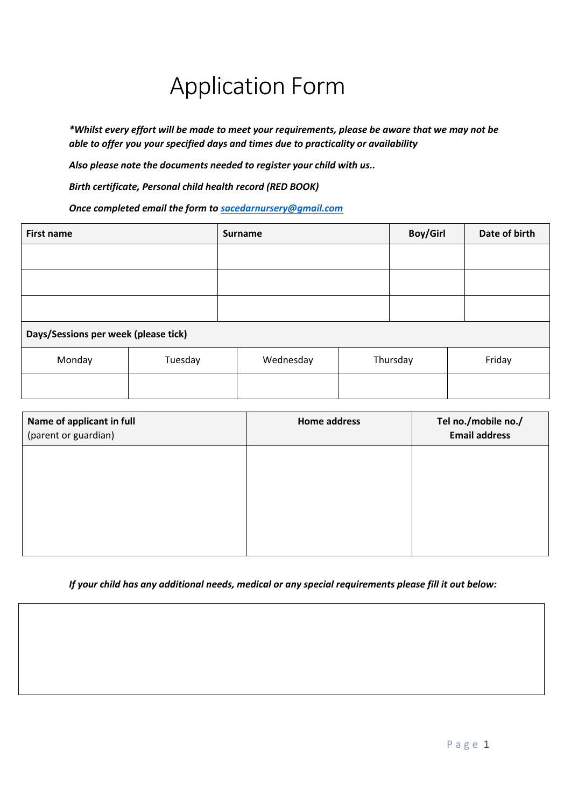# Application Form

*\*Whilst every effort will be made to meet your requirements, please be aware that we may not be able to offer you your specified days and times due to practicality or availability*

*Also please note the documents needed to register your child with us..*

*Birth certificate, Personal child health record (RED BOOK)*

*Once completed email the form to [sacedarnursery@gmail.com](mailto:sacedarnursery@gmail.com)*

| <b>First name</b>                    |         | <b>Surname</b> |          | <b>Boy/Girl</b> | Date of birth |  |  |
|--------------------------------------|---------|----------------|----------|-----------------|---------------|--|--|
|                                      |         |                |          |                 |               |  |  |
|                                      |         |                |          |                 |               |  |  |
|                                      |         |                |          |                 |               |  |  |
| Days/Sessions per week (please tick) |         |                |          |                 |               |  |  |
| Monday                               | Tuesday | Wednesday      | Thursday |                 | Friday        |  |  |
|                                      |         |                |          |                 |               |  |  |

| Name of applicant in full<br>(parent or guardian) | <b>Home address</b> | Tel no./mobile no./<br><b>Email address</b> |
|---------------------------------------------------|---------------------|---------------------------------------------|
|                                                   |                     |                                             |
|                                                   |                     |                                             |
|                                                   |                     |                                             |
|                                                   |                     |                                             |

*If your child has any additional needs, medical or any special requirements please fill it out below:*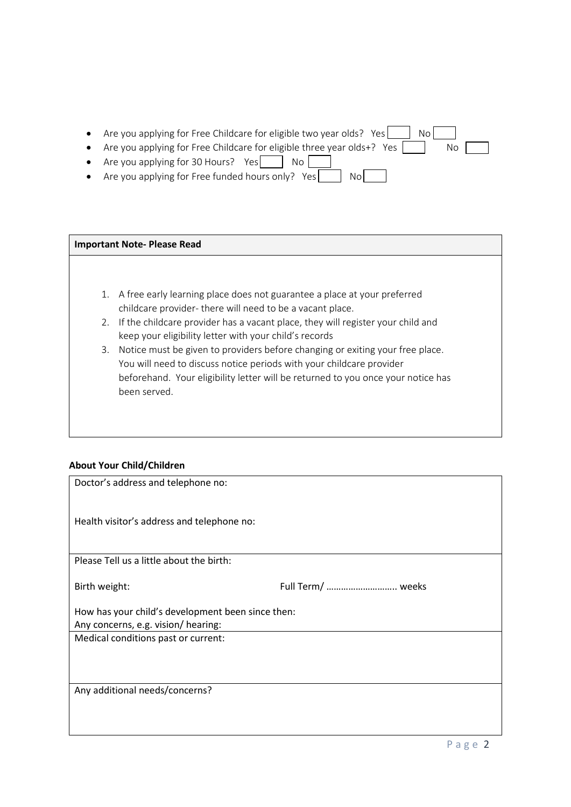| Are you applying for Free Childcare for eligible two year olds? Yes<br>No l               |
|-------------------------------------------------------------------------------------------|
| Are you applying for Free Childcare for eligible three year olds+? Yes $\parallel$<br>No. |
| • Are you applying for 30 Hours? Yes<br>$\cdot$ No $\cdot$                                |
| Are you applying for Free funded hours only? Yes<br>No!                                   |

#### **Important Note- Please Read**

- 1. A free early learning place does not guarantee a place at your preferred childcare provider- there will need to be a vacant place.
- 2. If the childcare provider has a vacant place, they will register your child and keep your eligibility letter with your child's records
- 3. Notice must be given to providers before changing or exiting your free place. You will need to discuss notice periods with your childcare provider beforehand. Your eligibility letter will be returned to you once your notice has been served.

#### **About Your Child/Children**

| Doctor's address and telephone no:                |                   |  |  |  |
|---------------------------------------------------|-------------------|--|--|--|
| Health visitor's address and telephone no:        |                   |  |  |  |
|                                                   |                   |  |  |  |
| Please Tell us a little about the birth:          |                   |  |  |  |
| Birth weight:                                     | Full Term/  weeks |  |  |  |
| How has your child's development been since then: |                   |  |  |  |
| Any concerns, e.g. vision/ hearing:               |                   |  |  |  |
| Medical conditions past or current:               |                   |  |  |  |
|                                                   |                   |  |  |  |
|                                                   |                   |  |  |  |
|                                                   |                   |  |  |  |
| Any additional needs/concerns?                    |                   |  |  |  |
|                                                   |                   |  |  |  |
|                                                   |                   |  |  |  |
|                                                   |                   |  |  |  |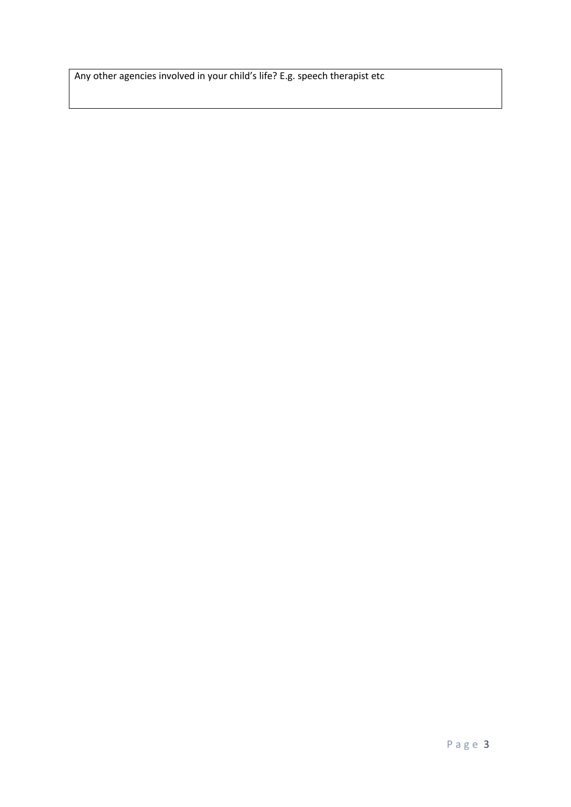Any other agencies involved in your child's life? E.g. speech therapist etc